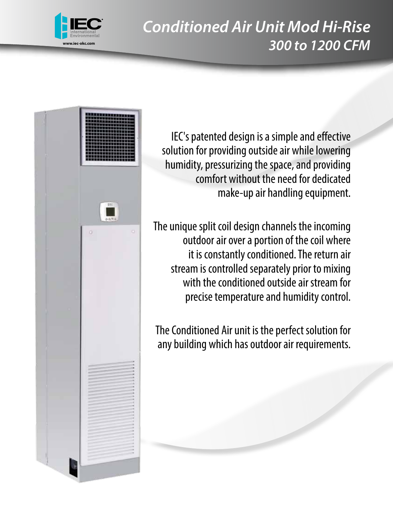





IEC's patented design is a simple and effective solution for providing outside air while lowering humidity, pressurizing the space, and providing comfort without the need for dedicated make-up air handling equipment.

The unique split coil design channels the incoming outdoor air over a portion of the coil where it is constantly conditioned. The return air stream is controlled separately prior to mixing with the conditioned outside air stream for precise temperature and humidity control.

The Conditioned Air unit is the perfect solution for any building which has outdoor air requirements.